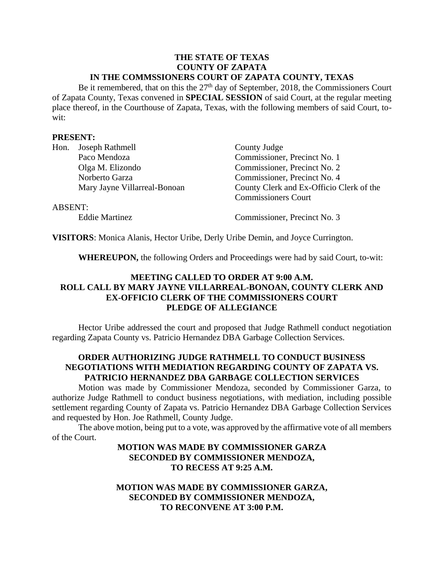#### **THE STATE OF TEXAS COUNTY OF ZAPATA IN THE COMMSSIONERS COURT OF ZAPATA COUNTY, TEXAS**

Be it remembered, that on this the  $27<sup>th</sup>$  day of September, 2018, the Commissioners Court of Zapata County, Texas convened in **SPECIAL SESSION** of said Court, at the regular meeting place thereof, in the Courthouse of Zapata, Texas, with the following members of said Court, towit:

### **PRESENT:**

|         | Hon. Joseph Rathmell         | County Judge                             |
|---------|------------------------------|------------------------------------------|
|         | Paco Mendoza                 | Commissioner, Precinct No. 1             |
|         | Olga M. Elizondo             | Commissioner, Precinct No. 2             |
|         | Norberto Garza               | Commissioner, Precinct No. 4             |
|         | Mary Jayne Villarreal-Bonoan | County Clerk and Ex-Officio Clerk of the |
|         |                              | <b>Commissioners Court</b>               |
| ABSENT: |                              |                                          |
|         |                              |                                          |

Eddie Martinez Commissioner, Precinct No. 3

**VISITORS**: Monica Alanis, Hector Uribe, Derly Uribe Demin, and Joyce Currington.

**WHEREUPON,** the following Orders and Proceedings were had by said Court, to-wit:

# **MEETING CALLED TO ORDER AT 9:00 A.M. ROLL CALL BY MARY JAYNE VILLARREAL-BONOAN, COUNTY CLERK AND EX-OFFICIO CLERK OF THE COMMISSIONERS COURT PLEDGE OF ALLEGIANCE**

Hector Uribe addressed the court and proposed that Judge Rathmell conduct negotiation regarding Zapata County vs. Patricio Hernandez DBA Garbage Collection Services.

# **ORDER AUTHORIZING JUDGE RATHMELL TO CONDUCT BUSINESS NEGOTIATIONS WITH MEDIATION REGARDING COUNTY OF ZAPATA VS. PATRICIO HERNANDEZ DBA GARBAGE COLLECTION SERVICES**

Motion was made by Commissioner Mendoza, seconded by Commissioner Garza, to authorize Judge Rathmell to conduct business negotiations, with mediation, including possible settlement regarding County of Zapata vs. Patricio Hernandez DBA Garbage Collection Services and requested by Hon. Joe Rathmell, County Judge.

The above motion, being put to a vote, was approved by the affirmative vote of all members of the Court.

# **MOTION WAS MADE BY COMMISSIONER GARZA SECONDED BY COMMISSIONER MENDOZA, TO RECESS AT 9:25 A.M.**

## **MOTION WAS MADE BY COMMISSIONER GARZA, SECONDED BY COMMISSIONER MENDOZA, TO RECONVENE AT 3:00 P.M.**